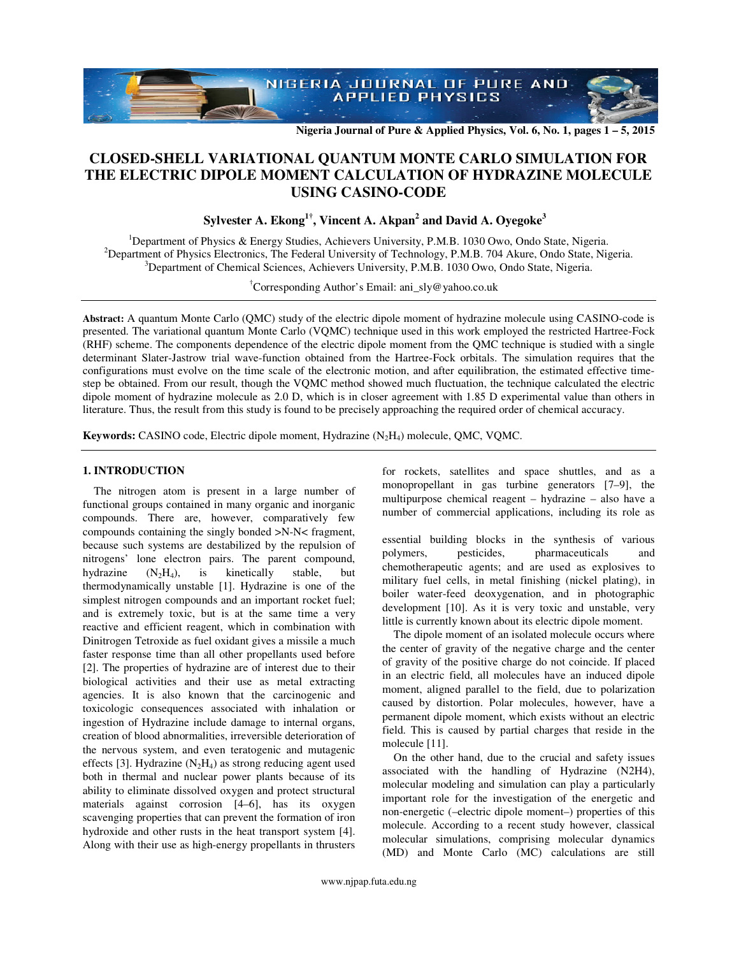**Nigeria Journal of Pure & Applied Physics, Vol. 6, No. 1, pages 1 – 5, 2015** 

# **CLOSED-SHELL VARIATIONAL QUANTUM MONTE CARLO SIMULATION FOR THE ELECTRIC DIPOLE MOMENT CALCULATION OF HYDRAZINE MOLECULE USING CASINO-CODE**

**Sylvester A. Ekong1†, Vincent A. Akpan<sup>2</sup> and David A. Oyegoke<sup>3</sup>**

<sup>1</sup>Department of Physics & Energy Studies, Achievers University, P.M.B. 1030 Owo, Ondo State, Nigeria. <sup>2</sup>Department of Physics Electronics, The Federal University of Technology, P.M.B. 704 Akure, Ondo State, Nigeria.  $3$ Department of Chemical Sciences, Achievers University, P.M.B. 1030 Owo, Ondo State, Nigeria.

†Corresponding Author's Email: ani\_sly@yahoo.co.uk

**Abstract:** A quantum Monte Carlo (QMC) study of the electric dipole moment of hydrazine molecule using CASINO-code is presented. The variational quantum Monte Carlo (VQMC) technique used in this work employed the restricted Hartree-Fock (RHF) scheme. The components dependence of the electric dipole moment from the QMC technique is studied with a single determinant Slater-Jastrow trial wave-function obtained from the Hartree-Fock orbitals. The simulation requires that the configurations must evolve on the time scale of the electronic motion, and after equilibration, the estimated effective timestep be obtained. From our result, though the VQMC method showed much fluctuation, the technique calculated the electric dipole moment of hydrazine molecule as 2.0 D, which is in closer agreement with 1.85 D experimental value than others in literature. Thus, the result from this study is found to be precisely approaching the required order of chemical accuracy.

**Keywords:** CASINO code, Electric dipole moment, Hydrazine (N<sub>2</sub>H<sub>4</sub>) molecule, QMC, VQMC.

# **1. INTRODUCTION**

The nitrogen atom is present in a large number of functional groups contained in many organic and inorganic compounds. There are, however, comparatively few compounds containing the singly bonded >N-N< fragment, because such systems are destabilized by the repulsion of nitrogens' lone electron pairs. The parent compound, hydrazine  $(N_2H_4)$ , is kinetically stable, but thermodynamically unstable [1]. Hydrazine is one of the simplest nitrogen compounds and an important rocket fuel; and is extremely toxic, but is at the same time a very reactive and efficient reagent, which in combination with Dinitrogen Tetroxide as fuel oxidant gives a missile a much faster response time than all other propellants used before [2]. The properties of hydrazine are of interest due to their biological activities and their use as metal extracting agencies. It is also known that the carcinogenic and toxicologic consequences associated with inhalation or ingestion of Hydrazine include damage to internal organs, creation of blood abnormalities, irreversible deterioration of the nervous system, and even teratogenic and mutagenic effects [3]. Hydrazine  $(N_2H_4)$  as strong reducing agent used both in thermal and nuclear power plants because of its ability to eliminate dissolved oxygen and protect structural materials against corrosion [4–6], has its oxygen scavenging properties that can prevent the formation of iron hydroxide and other rusts in the heat transport system [4]. Along with their use as high-energy propellants in thrusters for rockets, satellites and space shuttles, and as a monopropellant in gas turbine generators [7–9], the multipurpose chemical reagent – hydrazine – also have a number of commercial applications, including its role as

essential building blocks in the synthesis of various polymers, pesticides, pharmaceuticals and chemotherapeutic agents; and are used as explosives to military fuel cells, in metal finishing (nickel plating), in boiler water-feed deoxygenation, and in photographic development [10]. As it is very toxic and unstable, very little is currently known about its electric dipole moment.

The dipole moment of an isolated molecule occurs where the center of gravity of the negative charge and the center of gravity of the positive charge do not coincide. If placed in an electric field, all molecules have an induced dipole moment, aligned parallel to the field, due to polarization caused by distortion. Polar molecules, however, have a permanent dipole moment, which exists without an electric field. This is caused by partial charges that reside in the molecule [11].

On the other hand, due to the crucial and safety issues associated with the handling of Hydrazine (N2H4), molecular modeling and simulation can play a particularly important role for the investigation of the energetic and non-energetic (–electric dipole moment–) properties of this molecule. According to a recent study however, classical molecular simulations, comprising molecular dynamics (MD) and Monte Carlo (MC) calculations are still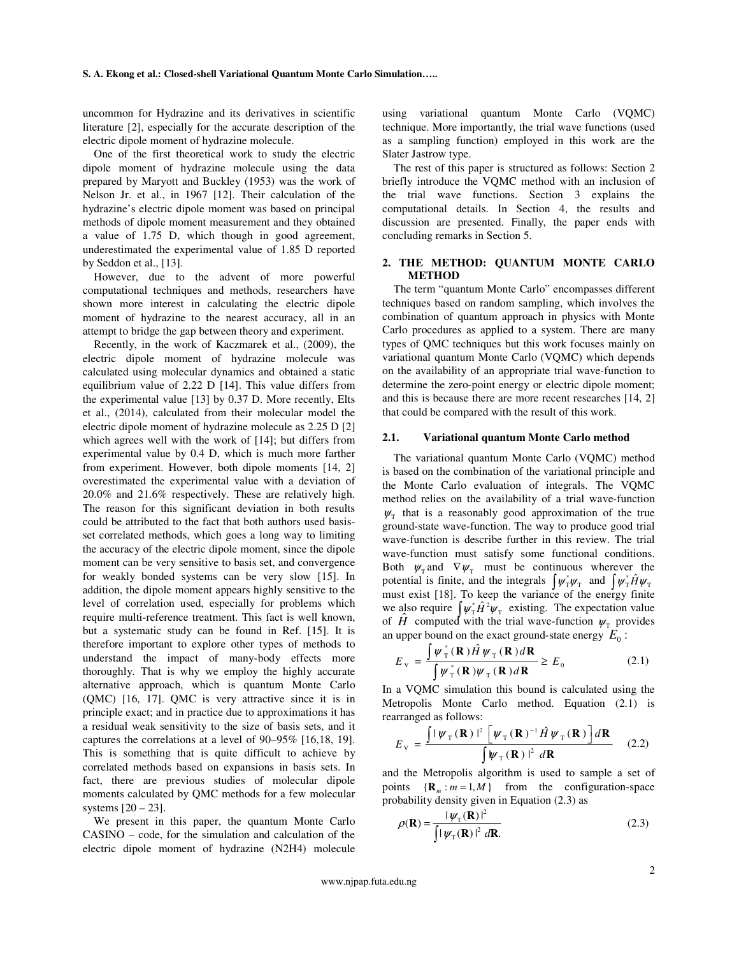uncommon for Hydrazine and its derivatives in scientific literature [2], especially for the accurate description of the electric dipole moment of hydrazine molecule.

One of the first theoretical work to study the electric dipole moment of hydrazine molecule using the data prepared by Maryott and Buckley (1953) was the work of Nelson Jr. et al., in 1967 [12]. Their calculation of the hydrazine's electric dipole moment was based on principal methods of dipole moment measurement and they obtained a value of 1.75 D, which though in good agreement, underestimated the experimental value of 1.85 D reported by Seddon et al., [13].

However, due to the advent of more powerful computational techniques and methods, researchers have shown more interest in calculating the electric dipole moment of hydrazine to the nearest accuracy, all in an attempt to bridge the gap between theory and experiment.

Recently, in the work of Kaczmarek et al., (2009), the electric dipole moment of hydrazine molecule was calculated using molecular dynamics and obtained a static equilibrium value of 2.22 D [14]. This value differs from the experimental value [13] by 0.37 D. More recently, Elts et al., (2014), calculated from their molecular model the electric dipole moment of hydrazine molecule as 2.25 D [2] which agrees well with the work of [14]; but differs from experimental value by 0.4 D, which is much more farther from experiment. However, both dipole moments [14, 2] overestimated the experimental value with a deviation of 20.0% and 21.6% respectively. These are relatively high. The reason for this significant deviation in both results could be attributed to the fact that both authors used basisset correlated methods, which goes a long way to limiting the accuracy of the electric dipole moment, since the dipole moment can be very sensitive to basis set, and convergence for weakly bonded systems can be very slow [15]. In addition, the dipole moment appears highly sensitive to the level of correlation used, especially for problems which require multi-reference treatment. This fact is well known, but a systematic study can be found in Ref. [15]. It is therefore important to explore other types of methods to understand the impact of many-body effects more thoroughly. That is why we employ the highly accurate alternative approach, which is quantum Monte Carlo (QMC) [16, 17]. QMC is very attractive since it is in principle exact; and in practice due to approximations it has a residual weak sensitivity to the size of basis sets, and it captures the correlations at a level of 90–95% [16,18, 19]. This is something that is quite difficult to achieve by correlated methods based on expansions in basis sets. In fact, there are previous studies of molecular dipole moments calculated by QMC methods for a few molecular systems [20 – 23].

We present in this paper, the quantum Monte Carlo CASINO – code, for the simulation and calculation of the electric dipole moment of hydrazine (N2H4) molecule

using variational quantum Monte Carlo (VQMC) technique. More importantly, the trial wave functions (used as a sampling function) employed in this work are the Slater Jastrow type.

The rest of this paper is structured as follows: Section 2 briefly introduce the VQMC method with an inclusion of the trial wave functions. Section 3 explains the computational details. In Section 4, the results and discussion are presented. Finally, the paper ends with concluding remarks in Section 5.

# **2. THE METHOD: QUANTUM MONTE CARLO METHOD**

The term "quantum Monte Carlo" encompasses different techniques based on random sampling, which involves the combination of quantum approach in physics with Monte Carlo procedures as applied to a system. There are many types of QMC techniques but this work focuses mainly on variational quantum Monte Carlo (VQMC) which depends on the availability of an appropriate trial wave-function to determine the zero-point energy or electric dipole moment; and this is because there are more recent researches [14, 2] that could be compared with the result of this work.

# **2.1. Variational quantum Monte Carlo method**

The variational quantum Monte Carlo (VQMC) method is based on the combination of the variational principle and the Monte Carlo evaluation of integrals. The VQMC method relies on the availability of a trial wave-function  $\psi_{\text{T}}$  that is a reasonably good approximation of the true ground-state wave-function. The way to produce good trial wave-function is describe further in this review. The trial wave-function must satisfy some functional conditions. Both  $\psi_{\text{T}}$  and  $\nabla \psi_{\text{T}}$  must be continuous wherever the potential is finite, and the integrals  $\int \psi_{\tau}^* \psi_{\tau}$  and  $\int \psi_{\tau}^* \hat{H} \psi_{\tau}$ must exist [18]. To keep the variance of the energy finite we also require  $\int \psi_{\rm T}^* \hat{H}^2 \psi_{\rm T}$  existing. The expectation value of  $\hat{H}$  computed with the trial wave-function  $\psi_{\text{T}}$  provides an upper bound on the exact ground-state energy  $E_0$ :

$$
E_{\rm v} = \frac{\int \psi_{\rm T}^*(\mathbf{R}) \hat{H} \psi_{\rm T}(\mathbf{R}) d\mathbf{R}}{\int \psi_{\rm T}^*(\mathbf{R}) \psi_{\rm T}(\mathbf{R}) d\mathbf{R}} \ge E_0
$$
 (2.1)

In a VQMC simulation this bound is calculated using the Metropolis Monte Carlo method. Equation (2.1) is rearranged as follows:

$$
E_{\rm v} = \frac{\int |\psi_{\rm T}(\mathbf{R})|^2 \left[ \psi_{\rm T}(\mathbf{R})^{-1} \hat{H} \psi_{\rm T}(\mathbf{R}) \right] d\mathbf{R}}{\int |\psi_{\rm T}(\mathbf{R})|^2 d\mathbf{R}} \quad (2.2)
$$

and the Metropolis algorithm is used to sample a set of points  ${R_m : m = 1, M}$  from the configuration-space probability density given in Equation (2.3) as

$$
\rho(\mathbf{R}) = \frac{|\psi_{\mathrm{T}}(\mathbf{R})|^2}{\int |\psi_{\mathrm{T}}(\mathbf{R})|^2 d\mathbf{R}} \tag{2.3}
$$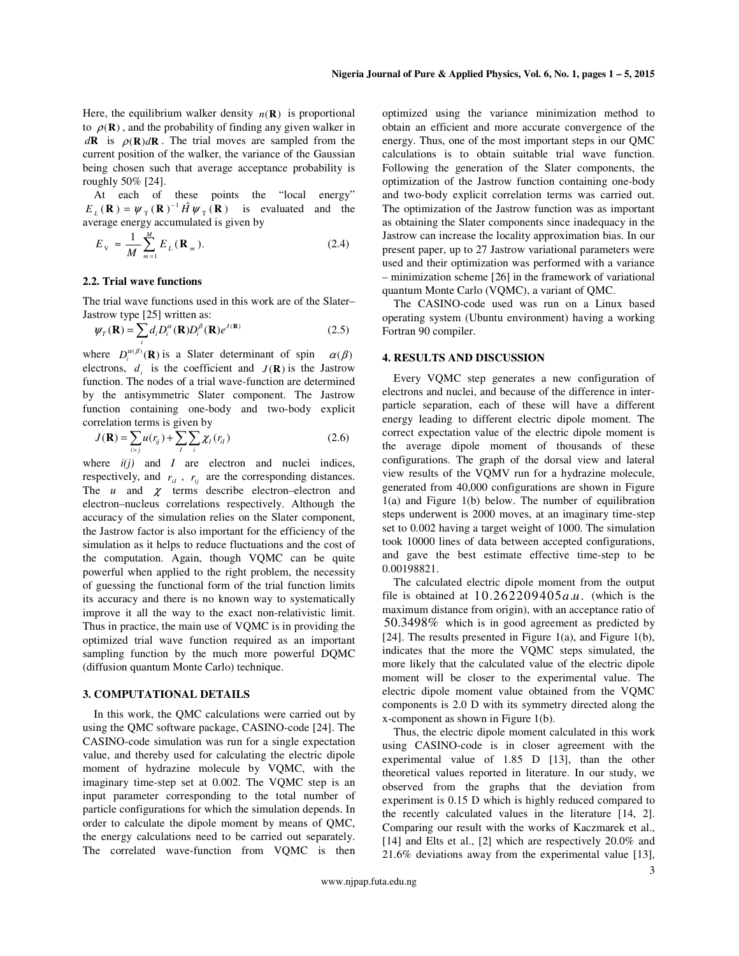Here, the equilibrium walker density  $n(\mathbf{R})$  is proportional to  $\rho(\mathbf{R})$ , and the probability of finding any given walker in  $d\mathbf{R}$  is  $\rho(\mathbf{R})d\mathbf{R}$ . The trial moves are sampled from the current position of the walker, the variance of the Gaussian being chosen such that average acceptance probability is roughly 50% [24].

At each of these points the "local energy"  $E_L(\mathbf{R}) = \psi_\text{T}(\mathbf{R})^{-1} \hat{H} \psi_\text{T}(\mathbf{R})$  is evaluated and the average energy accumulated is given by

$$
E_{\rm V} \approx \frac{1}{M} \sum_{m=1}^{M} E_L(\mathbf{R}_m). \tag{2.4}
$$

## **2.2. Trial wave functions**

The trial wave functions used in this work are of the Slater– Jastrow type [25] written as:

$$
\psi_{T}(\mathbf{R}) = \sum_{i} d_{i} D_{i}^{\alpha}(\mathbf{R}) D_{i}^{\beta}(\mathbf{R}) e^{J(\mathbf{R})}
$$
(2.5)

where  $D_i^{\alpha(\beta)}(\mathbf{R})$  is a Slater determinant of spin  $\alpha(\beta)$ electrons,  $d_i$  is the coefficient and  $J(\mathbf{R})$  is the Jastrow function. The nodes of a trial wave-function are determined by the antisymmetric Slater component. The Jastrow function containing one-body and two-body explicit correlation terms is given by

$$
J(\mathbf{R}) = \sum_{i>j} u(r_{ij}) + \sum_{l} \sum_{i} \chi_{l}(r_{il})
$$
 (2.6)

where  $i(j)$  and *I* are electron and nuclei indices, respectively, and  $r_{ii}$ ,  $r_{ij}$  are the corresponding distances. The  $u$  and  $\chi$  terms describe electron–electron and electron–nucleus correlations respectively. Although the accuracy of the simulation relies on the Slater component, the Jastrow factor is also important for the efficiency of the simulation as it helps to reduce fluctuations and the cost of the computation. Again, though VQMC can be quite powerful when applied to the right problem, the necessity of guessing the functional form of the trial function limits its accuracy and there is no known way to systematically improve it all the way to the exact non-relativistic limit. Thus in practice, the main use of VQMC is in providing the optimized trial wave function required as an important sampling function by the much more powerful DQMC (diffusion quantum Monte Carlo) technique.

#### **3. COMPUTATIONAL DETAILS**

In this work, the QMC calculations were carried out by using the QMC software package, CASINO-code [24]. The CASINO-code simulation was run for a single expectation value, and thereby used for calculating the electric dipole moment of hydrazine molecule by VQMC, with the imaginary time-step set at 0.002. The VQMC step is an input parameter corresponding to the total number of particle configurations for which the simulation depends. In order to calculate the dipole moment by means of QMC, the energy calculations need to be carried out separately. The correlated wave-function from VQMC is then optimized using the variance minimization method to obtain an efficient and more accurate convergence of the energy. Thus, one of the most important steps in our QMC calculations is to obtain suitable trial wave function. Following the generation of the Slater components, the optimization of the Jastrow function containing one-body and two-body explicit correlation terms was carried out. The optimization of the Jastrow function was as important as obtaining the Slater components since inadequacy in the Jastrow can increase the locality approximation bias. In our present paper, up to 27 Jastrow variational parameters were used and their optimization was performed with a variance – minimization scheme [26] in the framework of variational quantum Monte Carlo (VQMC), a variant of QMC.

The CASINO-code used was run on a Linux based operating system (Ubuntu environment) having a working Fortran 90 compiler.

# **4. RESULTS AND DISCUSSION**

Every VQMC step generates a new configuration of electrons and nuclei, and because of the difference in interparticle separation, each of these will have a different energy leading to different electric dipole moment. The correct expectation value of the electric dipole moment is the average dipole moment of thousands of these configurations. The graph of the dorsal view and lateral view results of the VQMV run for a hydrazine molecule, generated from 40,000 configurations are shown in Figure  $1(a)$  and Figure  $1(b)$  below. The number of equilibration steps underwent is 2000 moves, at an imaginary time-step set to 0.002 having a target weight of 1000. The simulation took 10000 lines of data between accepted configurations, and gave the best estimate effective time-step to be 0.00198821.

The calculated electric dipole moment from the output file is obtained at  $10.262209405a.u.$  (which is the maximum distance from origin), with an acceptance ratio of 50.3498% which is in good agreement as predicted by [24]. The results presented in Figure 1(a), and Figure 1(b), indicates that the more the VQMC steps simulated, the more likely that the calculated value of the electric dipole moment will be closer to the experimental value. The electric dipole moment value obtained from the VQMC components is 2.0 D with its symmetry directed along the x-component as shown in Figure 1(b).

Thus, the electric dipole moment calculated in this work using CASINO-code is in closer agreement with the experimental value of 1.85 D [13], than the other theoretical values reported in literature. In our study, we observed from the graphs that the deviation from experiment is 0.15 D which is highly reduced compared to the recently calculated values in the literature [14, 2]. Comparing our result with the works of Kaczmarek et al., [14] and Elts et al., [2] which are respectively 20.0% and 21.6% deviations away from the experimental value [13],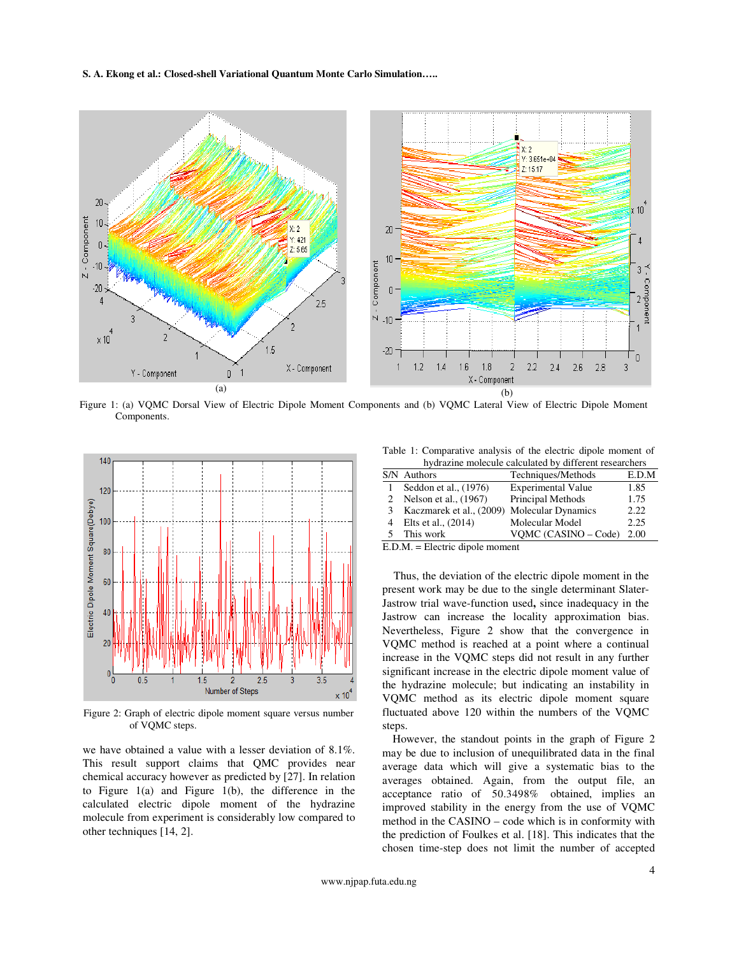## **S. A. Ekong et al.: Closed-shell Variational Quantum Monte Carlo Simulation…..**



Figure 1: (a) VQMC Dorsal View of Electric Dipole Moment Components and (b) VQMC Lateral View of Electric Dipole Moment Components.



Figure 2: Graph of electric dipole moment square versus number of VQMC steps.

we have obtained a value with a lesser deviation of 8.1%. This result support claims that QMC provides near chemical accuracy however as predicted by [27]. In relation to Figure 1(a) and Figure 1(b), the difference in the calculated electric dipole moment of the hydrazine molecule from experiment is considerably low compared to other techniques [14, 2].

Table 1: Comparative analysis of the electric dipole moment of hydrazine molecule calculated by different researchers

| nyarazine molecule calculated by different researchers |                          |                           |       |
|--------------------------------------------------------|--------------------------|---------------------------|-------|
|                                                        | S/N Authors              | Techniques/Methods        | E.D.M |
|                                                        | Seddon et al., (1976)    | <b>Experimental Value</b> | 1.85  |
|                                                        | 2 Nelson et al., (1967)  | Principal Methods         | 1.75  |
| 3                                                      | Kaczmarek et al., (2009) | <b>Molecular Dynamics</b> | 2.22. |
|                                                        | Elts et al., (2014)      | Molecular Model           | 2.25  |
|                                                        | This work                | VOMC (CASINO – Code)      | 2.00  |

E.D.M. = Electric dipole moment

Thus, the deviation of the electric dipole moment in the present work may be due to the single determinant Slater-Jastrow trial wave-function used**,** since inadequacy in the Jastrow can increase the locality approximation bias. Nevertheless, Figure 2 show that the convergence in VQMC method is reached at a point where a continual increase in the VQMC steps did not result in any further significant increase in the electric dipole moment value of the hydrazine molecule; but indicating an instability in VQMC method as its electric dipole moment square fluctuated above 120 within the numbers of the VQMC steps.

However, the standout points in the graph of Figure 2 may be due to inclusion of unequilibrated data in the final average data which will give a systematic bias to the averages obtained. Again, from the output file, an acceptance ratio of 50.3498% obtained, implies an improved stability in the energy from the use of VQMC method in the CASINO – code which is in conformity with the prediction of Foulkes et al. [18]. This indicates that the chosen time-step does not limit the number of accepted